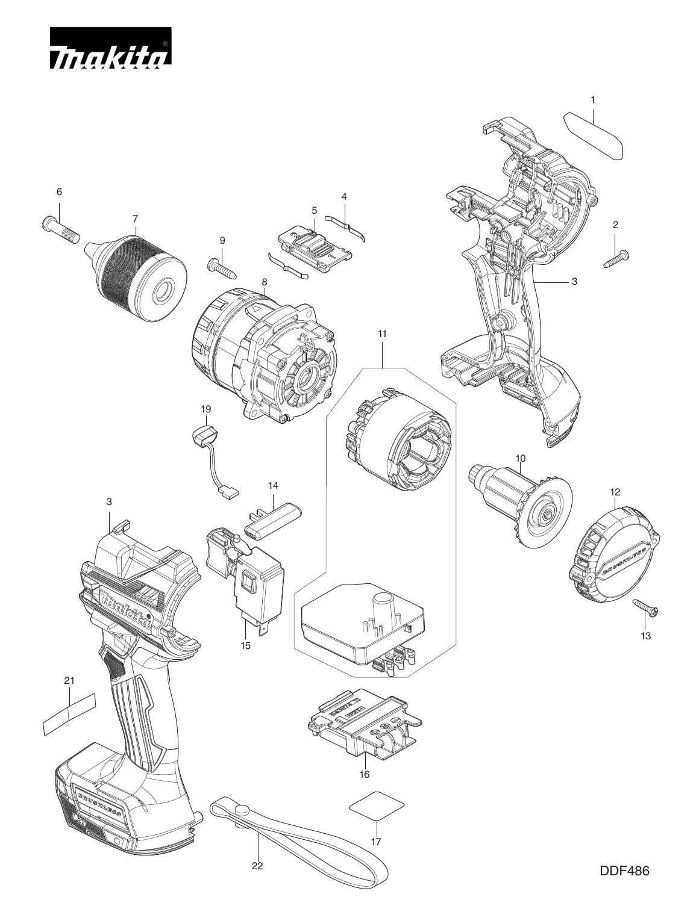